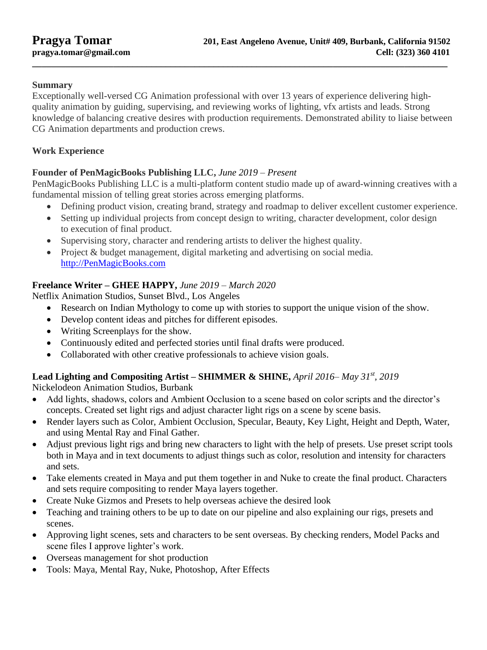### **Summary**

Exceptionally well-versed CG Animation professional with over 13 years of experience delivering highquality animation by guiding, supervising, and reviewing works of lighting, vfx artists and leads. Strong knowledge of balancing creative desires with production requirements. Demonstrated ability to liaise between CG Animation departments and production crews.

**\_\_\_\_\_\_\_\_\_\_\_\_\_\_\_\_\_\_\_\_\_\_\_\_\_\_\_\_\_\_\_\_\_\_\_\_\_\_\_\_\_\_\_\_\_\_\_\_\_\_\_\_\_\_\_\_\_\_\_\_\_\_\_\_\_\_\_\_\_\_\_\_\_\_\_\_\_\_\_\_\_\_\_\_\_\_\_**

### **Work Experience**

### **Founder of PenMagicBooks Publishing LLC,** *June 2019 – Present*

PenMagicBooks Publishing LLC is a multi-platform content studio made up of award-winning creatives with a fundamental mission of telling great stories across emerging platforms.

- Defining product vision, creating brand, strategy and roadmap to deliver excellent customer experience.
- Setting up individual projects from concept design to writing, character development, color design to execution of final product.
- Supervising story, character and rendering artists to deliver the highest quality.
- Project & budget management, digital marketing and advertising on social media. [http://PenMagicBooks.com](http://penmagicbooks.com/)

### **Freelance Writer – GHEE HAPPY,** *June 2019 – March 2020*

Netflix Animation Studios, Sunset Blvd., Los Angeles

- Research on Indian Mythology to come up with stories to support the unique vision of the show.
- Develop content ideas and pitches for different episodes.
- Writing Screenplays for the show.
- Continuously edited and perfected stories until final drafts were produced.
- Collaborated with other creative professionals to achieve vision goals.

# **Lead Lighting and Compositing Artist – SHIMMER & SHINE,** *April 2016– May 31st, 2019*

Nickelodeon Animation Studios, Burbank

- Add lights, shadows, colors and Ambient Occlusion to a scene based on color scripts and the director's concepts. Created set light rigs and adjust character light rigs on a scene by scene basis.
- Render layers such as Color, Ambient Occlusion, Specular, Beauty, Key Light, Height and Depth, Water, and using Mental Ray and Final Gather.
- Adjust previous light rigs and bring new characters to light with the help of presets. Use preset script tools both in Maya and in text documents to adjust things such as color, resolution and intensity for characters and sets.
- Take elements created in Maya and put them together in and Nuke to create the final product. Characters and sets require compositing to render Maya layers together.
- Create Nuke Gizmos and Presets to help overseas achieve the desired look
- Teaching and training others to be up to date on our pipeline and also explaining our rigs, presets and scenes.
- Approving light scenes, sets and characters to be sent overseas. By checking renders, Model Packs and scene files I approve lighter's work.
- Overseas management for shot production
- Tools: Maya, Mental Ray, Nuke, Photoshop, After Effects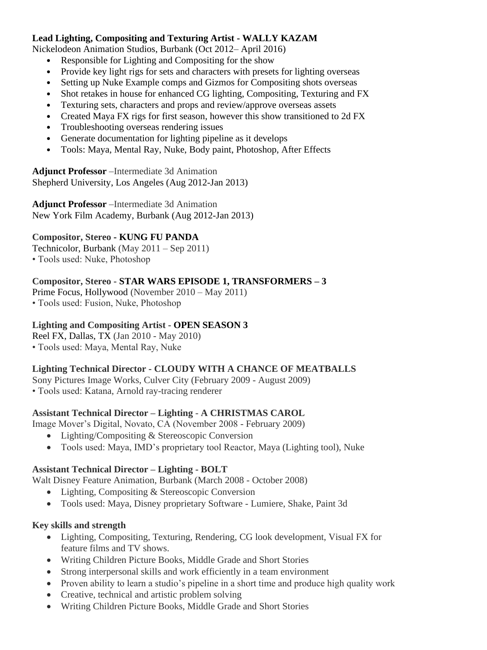#### **Lead Lighting, Compositing and Texturing Artist - WALLY KAZAM**

Nickelodeon Animation Studios, Burbank (Oct 2012– April 2016)

- Responsible for Lighting and Compositing for the show
- Provide key light rigs for sets and characters with presets for lighting overseas
- Setting up Nuke Example comps and Gizmos for Compositing shots overseas
- Shot retakes in house for enhanced CG lighting, Compositing, Texturing and FX
- Texturing sets, characters and props and review/approve overseas assets
- Created Maya FX rigs for first season, however this show transitioned to 2d FX
- Troubleshooting overseas rendering issues
- Generate documentation for lighting pipeline as it develops
- Tools: Maya, Mental Ray, Nuke, Body paint, Photoshop, After Effects

**Adjunct Professor** –Intermediate 3d Animation Shepherd University, Los Angeles (Aug 2012-Jan 2013)

**Adjunct Professor** –Intermediate 3d Animation New York Film Academy, Burbank (Aug 2012-Jan 2013)

### **Compositor, Stereo - KUNG FU PANDA**

Technicolor, Burbank (May 2011 – Sep 2011)

• Tools used: Nuke, Photoshop

# **Compositor, Stereo - STAR WARS EPISODE 1, TRANSFORMERS – 3**

Prime Focus, Hollywood (November 2010 – May 2011)

• Tools used: Fusion, Nuke, Photoshop

### **Lighting and Compositing Artist - OPEN SEASON 3**

Reel FX, Dallas, TX (Jan 2010 - May 2010)

• Tools used: Maya, Mental Ray, Nuke

# **Lighting Technical Director - CLOUDY WITH A CHANCE OF MEATBALLS**

Sony Pictures Image Works, Culver City (February 2009 - August 2009) • Tools used: Katana, Arnold ray-tracing renderer

# **Assistant Technical Director – Lighting** - **A CHRISTMAS CAROL**

Image Mover's Digital, Novato, CA (November 2008 - February 2009)

- Lighting/Compositing & Stereoscopic Conversion
- Tools used: Maya, IMD's proprietary tool Reactor, Maya (Lighting tool), Nuke

#### **Assistant Technical Director – Lighting - BOLT**

Walt Disney Feature Animation, Burbank (March 2008 - October 2008)

- Lighting, Compositing & Stereoscopic Conversion
- Tools used: Maya, Disney proprietary Software Lumiere, Shake, Paint 3d

#### **Key skills and strength**

- Lighting, Compositing, Texturing, Rendering, CG look development, Visual FX for feature films and TV shows.
- Writing Children Picture Books, Middle Grade and Short Stories
- Strong interpersonal skills and work efficiently in a team environment
- Proven ability to learn a studio's pipeline in a short time and produce high quality work
- Creative, technical and artistic problem solving
- Writing Children Picture Books, Middle Grade and Short Stories